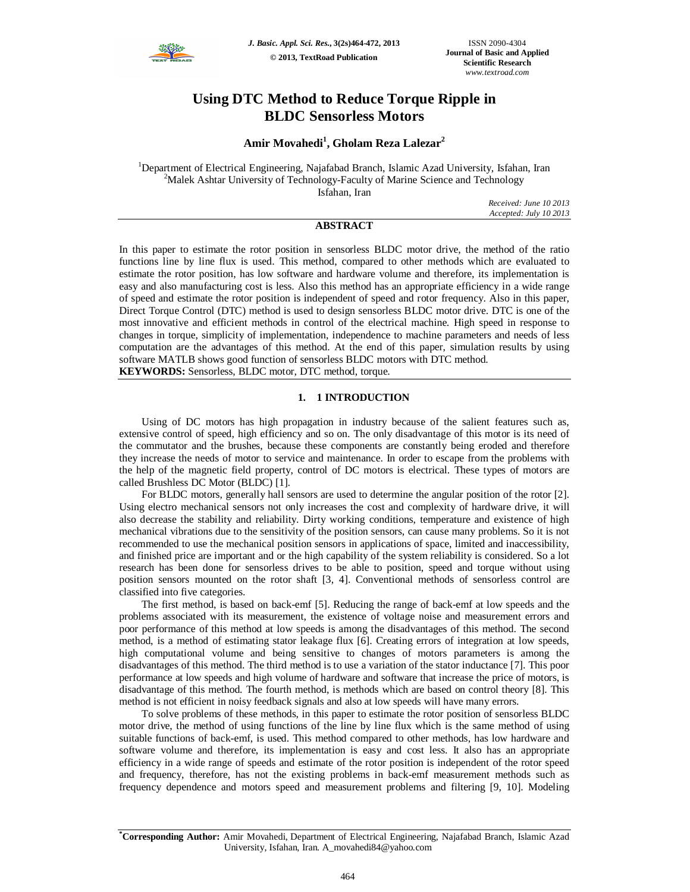

*J. Basic. Appl. Sci. Res.***, 3(2s)464-472, 2013 © 2013, TextRoad Publication**

# **Using DTC Method to Reduce Torque Ripple in BLDC Sensorless Motors**

## **Amir Movahedi<sup>1</sup> , Gholam Reza Lalezar<sup>2</sup>**

<sup>1</sup>Department of Electrical Engineering, Najafabad Branch, Islamic Azad University, Isfahan, Iran <sup>2</sup>Malek Ashtar University of Technology-Faculty of Marine Science and Technology Isfahan, Iran

> *Received: June 10 2013 Accepted: July 10 2013*

### **ABSTRACT**

In this paper to estimate the rotor position in sensorless BLDC motor drive, the method of the ratio functions line by line flux is used. This method, compared to other methods which are evaluated to estimate the rotor position, has low software and hardware volume and therefore, its implementation is easy and also manufacturing cost is less. Also this method has an appropriate efficiency in a wide range of speed and estimate the rotor position is independent of speed and rotor frequency. Also in this paper, Direct Torque Control (DTC) method is used to design sensorless BLDC motor drive. DTC is one of the most innovative and efficient methods in control of the electrical machine. High speed in response to changes in torque, simplicity of implementation, independence to machine parameters and needs of less computation are the advantages of this method. At the end of this paper, simulation results by using software MATLB shows good function of sensorless BLDC motors with DTC method.

**KEYWORDS:** Sensorless, BLDC motor, DTC method, torque.

#### **1. 1 INTRODUCTION**

Using of DC motors has high propagation in industry because of the salient features such as, extensive control of speed, high efficiency and so on. The only disadvantage of this motor is its need of the commutator and the brushes, because these components are constantly being eroded and therefore they increase the needs of motor to service and maintenance. In order to escape from the problems with the help of the magnetic field property, control of DC motors is electrical. These types of motors are called Brushless DC Motor (BLDC) [1].

For BLDC motors, generally hall sensors are used to determine the angular position of the rotor [2]. Using electro mechanical sensors not only increases the cost and complexity of hardware drive, it will also decrease the stability and reliability. Dirty working conditions, temperature and existence of high mechanical vibrations due to the sensitivity of the position sensors, can cause many problems. So it is not recommended to use the mechanical position sensors in applications of space, limited and inaccessibility, and finished price are important and or the high capability of the system reliability is considered. So a lot research has been done for sensorless drives to be able to position, speed and torque without using position sensors mounted on the rotor shaft [3, 4]. Conventional methods of sensorless control are classified into five categories.

The first method, is based on back-emf [5]. Reducing the range of back-emf at low speeds and the problems associated with its measurement, the existence of voltage noise and measurement errors and poor performance of this method at low speeds is among the disadvantages of this method. The second method, is a method of estimating stator leakage flux [6]. Creating errors of integration at low speeds, high computational volume and being sensitive to changes of motors parameters is among the disadvantages of this method. The third method is to use a variation of the stator inductance [7]. This poor performance at low speeds and high volume of hardware and software that increase the price of motors, is disadvantage of this method. The fourth method, is methods which are based on control theory [8]. This method is not efficient in noisy feedback signals and also at low speeds will have many errors.

To solve problems of these methods, in this paper to estimate the rotor position of sensorless BLDC motor drive, the method of using functions of the line by line flux which is the same method of using suitable functions of back-emf, is used. This method compared to other methods, has low hardware and software volume and therefore, its implementation is easy and cost less. It also has an appropriate efficiency in a wide range of speeds and estimate of the rotor position is independent of the rotor speed and frequency, therefore, has not the existing problems in back-emf measurement methods such as frequency dependence and motors speed and measurement problems and filtering [9, 10]. Modeling

**<sup>\*</sup>Corresponding Author:** Amir Movahedi, Department of Electrical Engineering, Najafabad Branch, Islamic Azad University, Isfahan, Iran. A\_movahedi84@yahoo.com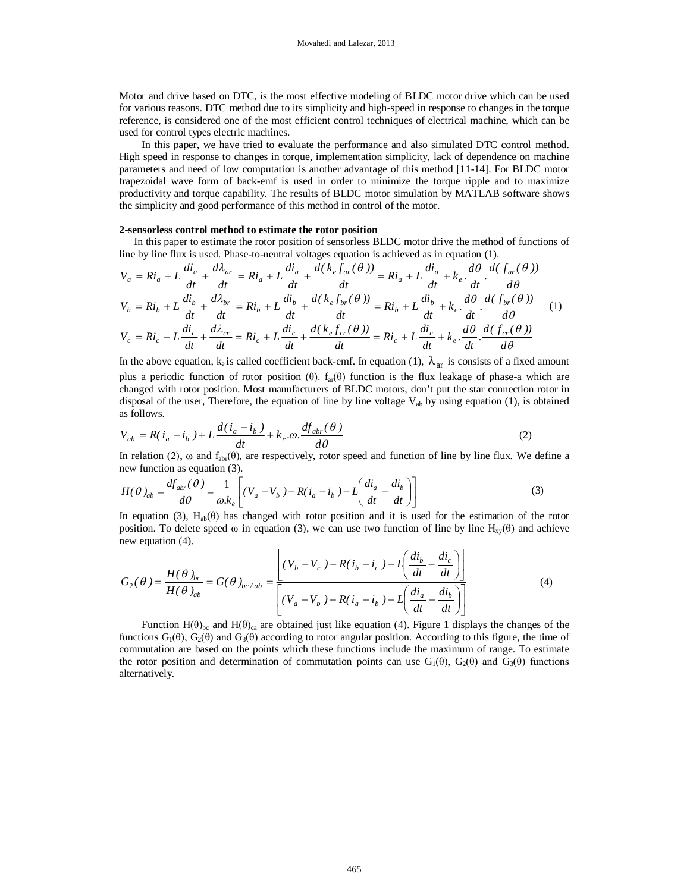Motor and drive based on DTC, is the most effective modeling of BLDC motor drive which can be used for various reasons. DTC method due to its simplicity and high-speed in response to changes in the torque reference, is considered one of the most efficient control techniques of electrical machine, which can be used for control types electric machines.

In this paper, we have tried to evaluate the performance and also simulated DTC control method. High speed in response to changes in torque, implementation simplicity, lack of dependence on machine parameters and need of low computation is another advantage of this method [11-14]. For BLDC motor trapezoidal wave form of back-emf is used in order to minimize the torque ripple and to maximize productivity and torque capability. The results of BLDC motor simulation by MATLAB software shows the simplicity and good performance of this method in control of the motor.

#### **2-sensorless control method to estimate the rotor position**

In this paper to estimate the rotor position of sensorless BLDC motor drive the method of functions of line by line flux is used. Phase-to-neutral voltages equation is achieved as in equation (1).

$$
V_a = Ri_a + L\frac{di_a}{dt} + \frac{d\lambda_{ar}}{dt} = Ri_a + L\frac{di_a}{dt} + \frac{d(k_e f_{ar}(\theta))}{dt} = Ri_a + L\frac{di_a}{dt} + k_e \cdot \frac{d\theta}{dt} \cdot \frac{d(f_{ar}(\theta))}{d\theta}
$$
  
\n
$$
V_b = Ri_b + L\frac{di_b}{dt} + \frac{d\lambda_{br}}{dt} = Ri_b + L\frac{di_b}{dt} + \frac{d(k_e f_{br}(\theta))}{dt} = Ri_b + L\frac{di_b}{dt} + k_e \cdot \frac{d\theta}{dt} \cdot \frac{d(f_{br}(\theta))}{d\theta}
$$
  
\n
$$
V_c = Ri_c + L\frac{di_c}{dt} + \frac{d\lambda_{cr}}{dt} = Ri_c + L\frac{di_c}{dt} + \frac{d(k_e f_{cr}(\theta))}{dt} = Ri_c + L\frac{di_c}{dt} + k_e \cdot \frac{d\theta}{dt} \cdot \frac{d(f_{cr}(\theta))}{d\theta}
$$
 (1)

In the above equation, k<sub>e</sub> is called coefficient back-emf. In equation (1),  $\lambda_{ar}$  is consists of a fixed amount plus a periodic function of rotor position (θ).  $f_{ar}(\theta)$  function is the flux leakage of phase-a which are changed with rotor position. Most manufacturers of BLDC motors, don't put the star connection rotor in disposal of the user, Therefore, the equation of line by line voltage  $V_{ab}$  by using equation (1), is obtained as follows.

$$
V_{ab} = R(i_a - i_b) + L \frac{d(i_a - i_b)}{dt} + k_e \cdot \omega \cdot \frac{df_{abr}(\theta)}{d\theta}
$$
 (2)

In relation (2),  $\omega$  and  $f_{abr}(\theta)$ , are respectively, rotor speed and function of line by line flux. We define a new function as equation (3).

$$
H(\theta)_{ab} = \frac{df_{abr}(\theta)}{d\theta} = \frac{1}{\omega k_e} \left[ (V_a - V_b) - R(i_a - i_b) - L \left( \frac{di_a}{dt} - \frac{di_b}{dt} \right) \right]
$$
(3)

In equation (3),  $H_{ab}(\theta)$  has changed with rotor position and it is used for the estimation of the rotor position. To delete speed  $\omega$  in equation (3), we can use two function of line by line H<sub>xy</sub>( $\theta$ ) and achieve new equation (4).  $\overline{a}$ 

$$
G_2(\theta) = \frac{H(\theta)_{bc}}{H(\theta)_{ab}} = G(\theta)_{bc/ab} = \frac{\left[ (V_b - V_c) - R(i_b - i_c) - L\left(\frac{di_b}{dt} - \frac{di_c}{dt}\right) \right]}{\left[ (V_a - V_b) - R(i_a - i_b) - L\left(\frac{di_a}{dt} - \frac{di_b}{dt}\right) \right]}
$$
(4)

Function  $H(\theta)_{bc}$  and  $H(\theta)_{ca}$  are obtained just like equation (4). Figure 1 displays the changes of the functions  $G_1(\theta)$ ,  $G_2(\theta)$  and  $G_3(\theta)$  according to rotor angular position. According to this figure, the time of commutation are based on the points which these functions include the maximum of range. To estimate the rotor position and determination of commutation points can use  $G_1(\theta)$ ,  $G_2(\theta)$  and  $G_3(\theta)$  functions alternatively.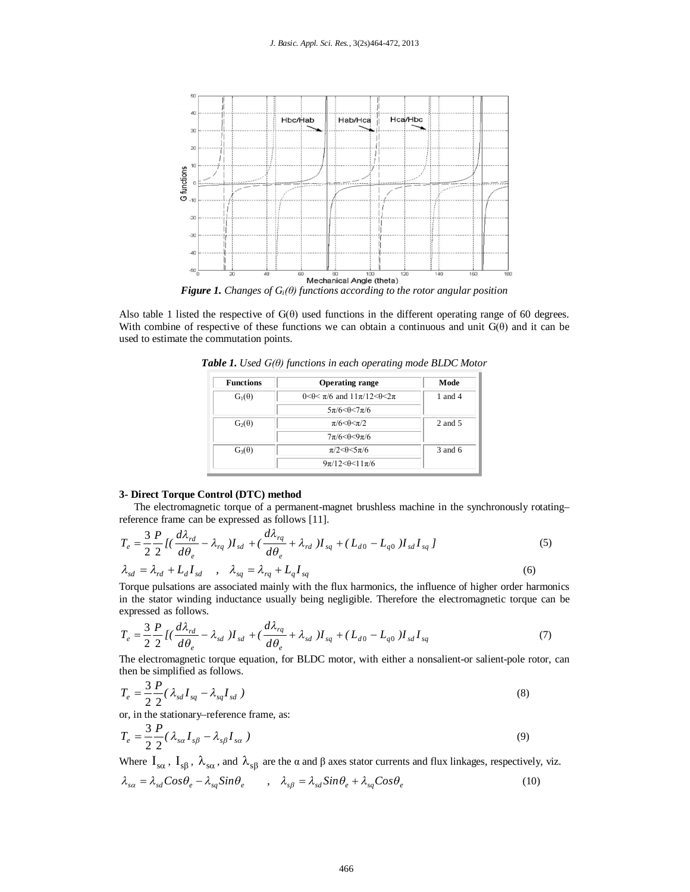

Also table 1 listed the respective of  $G(\theta)$  used functions in the different operating range of 60 degrees. With combine of respective of these functions we can obtain a continuous and unit  $G(\theta)$  and it can be used to estimate the commutation points.

| <b>Functions</b> | <b>Operating range</b>                              | Mode      |
|------------------|-----------------------------------------------------|-----------|
| $G_1(\theta)$    | $0 < \theta < \pi/6$ and $11\pi/12 < \theta < 2\pi$ | 1 and $4$ |
|                  | $5\pi/6 < \theta < 7\pi/6$                          |           |
| $G_2(\theta)$    | $\pi/6 < \theta < \pi/2$                            | 2 and 5   |
|                  | $7\pi/6 < \theta < 9\pi/6$                          |           |
| $G_3(\theta)$    | $\pi/2 \leq \theta \leq 5\pi/6$                     | $3$ and 6 |
|                  | $9\pi/12 < \theta < 11\pi/6$                        |           |

*Table 1. Used G(θ) functions in each operating mode BLDC Motor*

#### **3- Direct Torque Control (DTC) method**

The electromagnetic torque of a permanent-magnet brushless machine in the synchronously rotating– reference frame can be expressed as follows [11].

$$
T_e = \frac{3}{2} \frac{P}{2} \left[ \left( \frac{d\lambda_{rd}}{d\theta_e} - \lambda_{rq} \right) I_{sd} + \left( \frac{d\lambda_{rq}}{d\theta_e} + \lambda_{rd} \right) I_{sq} + \left( L_{d0} - L_{q0} \right) I_{sd} I_{sq} \right]
$$
  
\n
$$
\lambda_{sd} = \lambda_{rd} + L_d I_{sd} \quad , \quad \lambda_{sq} = \lambda_{rq} + L_q I_{sq} \tag{6}
$$

Torque pulsations are associated mainly with the flux harmonics, the influence of higher order harmonics in the stator winding inductance usually being negligible. Therefore the electromagnetic torque can be expressed as follows.

$$
T_e = \frac{3}{2} \frac{P}{2} \left[ \left( \frac{d\lambda_{rd}}{d\theta_e} - \lambda_{sd} \right) I_{sd} + \left( \frac{d\lambda_{rq}}{d\theta_e} + \lambda_{sd} \right) I_{sq} + \left( L_{d0} - L_{q0} \right) I_{sd} I_{sq} \right]
$$
(7)

The electromagnetic torque equation, for BLDC motor, with either a nonsalient-or salient-pole rotor, can then be simplified as follows.

$$
T_e = \frac{3}{2} \frac{P}{2} (\lambda_{sd} I_{sq} - \lambda_{sq} I_{sd})
$$
\n(8)

or, in the stationary–reference frame, as:

$$
T_e = \frac{3}{2} \frac{P}{2} (\lambda_{sa} I_{s\beta} - \lambda_{s\beta} I_{s\alpha})
$$
\n(9)

Where  $I_{s\alpha}$ ,  $I_{s\beta}$ ,  $\lambda_{s\alpha}$ , and  $\lambda_{s\beta}$  are the  $\alpha$  and  $\beta$  axes stator currents and flux linkages, respectively, viz.

$$
\lambda_{sa} = \lambda_{sd} \cos \theta_e - \lambda_{sq} \sin \theta_e \qquad , \quad \lambda_{s\beta} = \lambda_{sd} \sin \theta_e + \lambda_{sq} \cos \theta_e \tag{10}
$$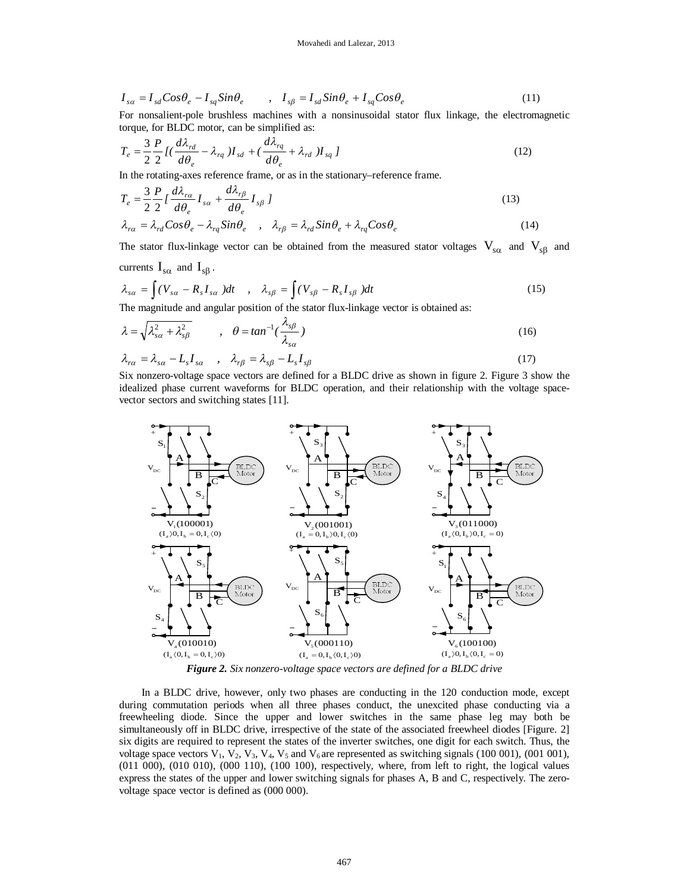$$
I_{sa} = I_{sd} Cos \theta_e - I_{sq} Sin \theta_e \qquad , \quad I_{s\beta} = I_{sd} Sin \theta_e + I_{sq} Cos \theta_e \tag{11}
$$

For nonsalient-pole brushless machines with a nonsinusoidal stator flux linkage, the electromagnetic torque, for BLDC motor, can be simplified as:

$$
T_e = \frac{3}{2} \frac{P}{2} I \left( \frac{d\lambda_{rd}}{d\theta_e} - \lambda_{rq} \right) I_{sd} + \left( \frac{d\lambda_{rq}}{d\theta_e} + \lambda_{rd} \right) I_{sq} \tag{12}
$$

In the rotating-axes reference frame, or as in the stationary–reference frame.

$$
T_e = \frac{3}{2} \frac{P}{2} I \frac{d\lambda_{r\alpha}}{d\theta_e} I_{s\alpha} + \frac{d\lambda_{r\beta}}{d\theta_e} I_{s\beta} I
$$
\n(13)

$$
\lambda_{r\alpha} = \lambda_{rd} Cos \theta_e - \lambda_{rq} Sin \theta_e \quad , \quad \lambda_{r\beta} = \lambda_{rd} Sin \theta_e + \lambda_{rq} Cos \theta_e \tag{14}
$$

The stator flux-linkage vector can be obtained from the measured stator voltages  $V_{s\alpha}$  and  $V_{s\beta}$  and currents  $I_{s\alpha}$  and  $I_{s\beta}$ .

$$
\lambda_{s\alpha} = \int (V_{s\alpha} - R_s I_{s\alpha}) dt \quad , \quad \lambda_{s\beta} = \int (V_{s\beta} - R_s I_{s\beta}) dt \tag{15}
$$

The magnitude and angular position of the stator flux-linkage vector is obtained as:

$$
\lambda = \sqrt{\lambda_{s\alpha}^2 + \lambda_{s\beta}^2} \qquad , \quad \theta = \tan^{-1}(\frac{\lambda_{s\beta}}{\lambda_{s\alpha}})
$$
 (16)

$$
\lambda_{r\alpha} = \lambda_{s\alpha} - L_s I_{s\alpha} \quad , \quad \lambda_{r\beta} = \lambda_{s\beta} - L_s I_{s\beta} \tag{17}
$$

Six nonzero-voltage space vectors are defined for a BLDC drive as shown in figure 2. Figure 3 show the idealized phase current waveforms for BLDC operation, and their relationship with the voltage spacevector sectors and switching states [11].



*Figure 2. Six nonzero-voltage space vectors are defined for a BLDC drive*

In a BLDC drive, however, only two phases are conducting in the 120 conduction mode, except during commutation periods when all three phases conduct, the unexcited phase conducting via a freewheeling diode. Since the upper and lower switches in the same phase leg may both be simultaneously off in BLDC drive, irrespective of the state of the associated freewheel diodes [Figure. 2] six digits are required to represent the states of the inverter switches, one digit for each switch. Thus, the voltage space vectors  $V_1$ ,  $V_2$ ,  $V_3$ ,  $V_4$ ,  $V_5$  and  $V_6$  are represented as switching signals (100 001), (001 001), (011 000), (010 010), (000 110), (100 100), respectively, where, from left to right, the logical values express the states of the upper and lower switching signals for phases A, B and C, respectively. The zerovoltage space vector is defined as (000 000).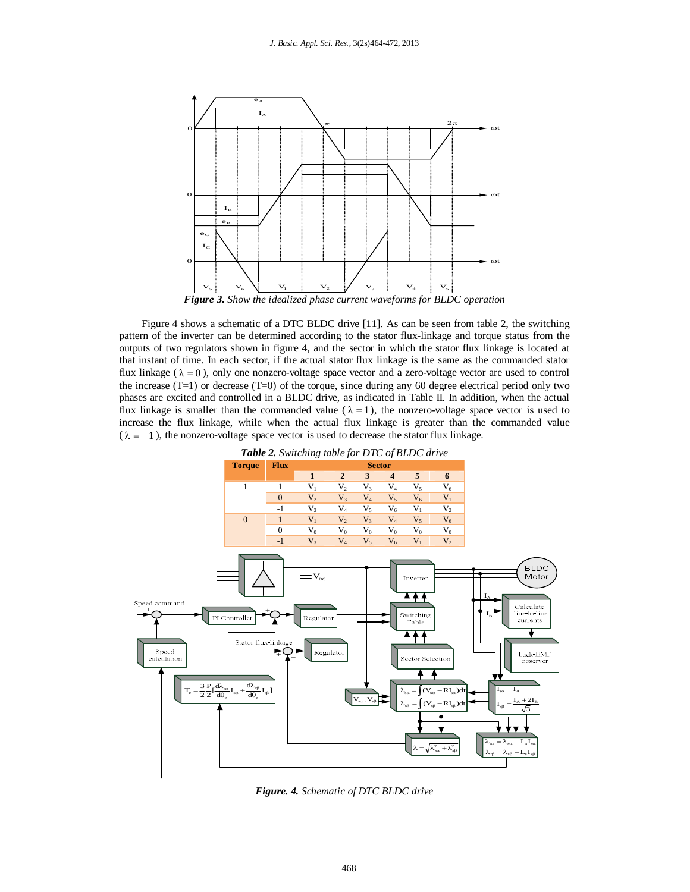

Figure 4 shows a schematic of a DTC BLDC drive [11]. As can be seen from table 2, the switching pattern of the inverter can be determined according to the stator flux-linkage and torque status from the outputs of two regulators shown in figure 4, and the sector in which the stator flux linkage is located at that instant of time. In each sector, if the actual stator flux linkage is the same as the commanded stator flux linkage ( $\lambda = 0$ ), only one nonzero-voltage space vector and a zero-voltage vector are used to control the increase  $(T=1)$  or decrease  $(T=0)$  of the torque, since during any 60 degree electrical period only two phases are excited and controlled in a BLDC drive, as indicated in Table II. In addition, when the actual flux linkage is smaller than the commanded value ( $\lambda = 1$ ), the nonzero-voltage space vector is used to increase the flux linkage, while when the actual flux linkage is greater than the commanded value  $(\lambda = -1)$ , the nonzero-voltage space vector is used to decrease the stator flux linkage.



*Figure. 4. Schematic of DTC BLDC drive*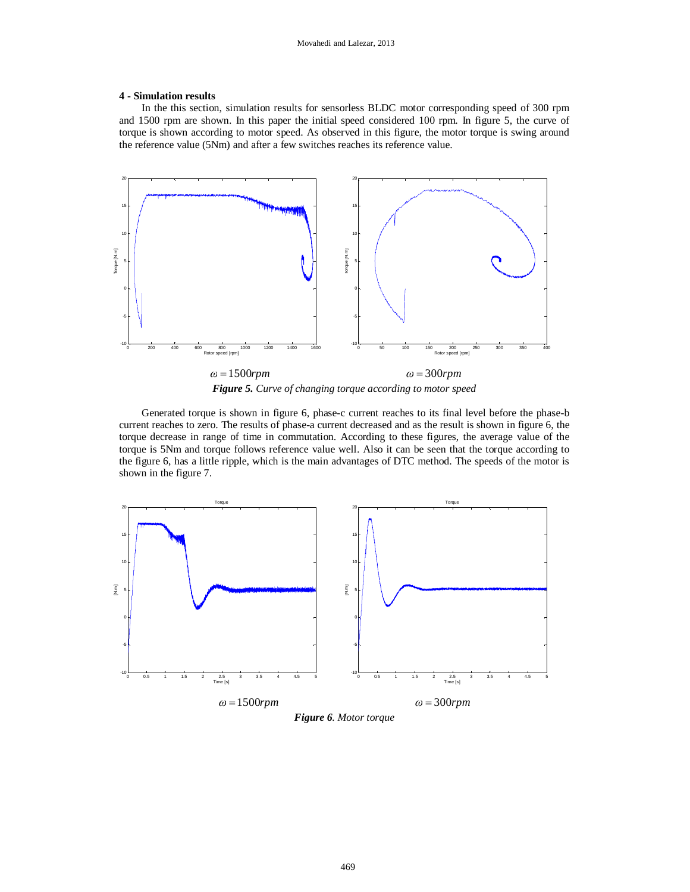#### **4 - Simulation results**

In the this section, simulation results for sensorless BLDC motor corresponding speed of 300 rpm and 1500 rpm are shown. In this paper the initial speed considered 100 rpm. In figure 5, the curve of torque is shown according to motor speed. As observed in this figure, the motor torque is swing around the reference value (5Nm) and after a few switches reaches its reference value.



*Figure 5. Curve of changing torque according to motor speed*

Generated torque is shown in figure 6, phase-c current reaches to its final level before the phase-b current reaches to zero. The results of phase-a current decreased and as the result is shown in figure 6, the torque decrease in range of time in commutation. According to these figures, the average value of the torque is 5Nm and torque follows reference value well. Also it can be seen that the torque according to the figure 6, has a little ripple, which is the main advantages of DTC method. The speeds of the motor is shown in the figure 7.



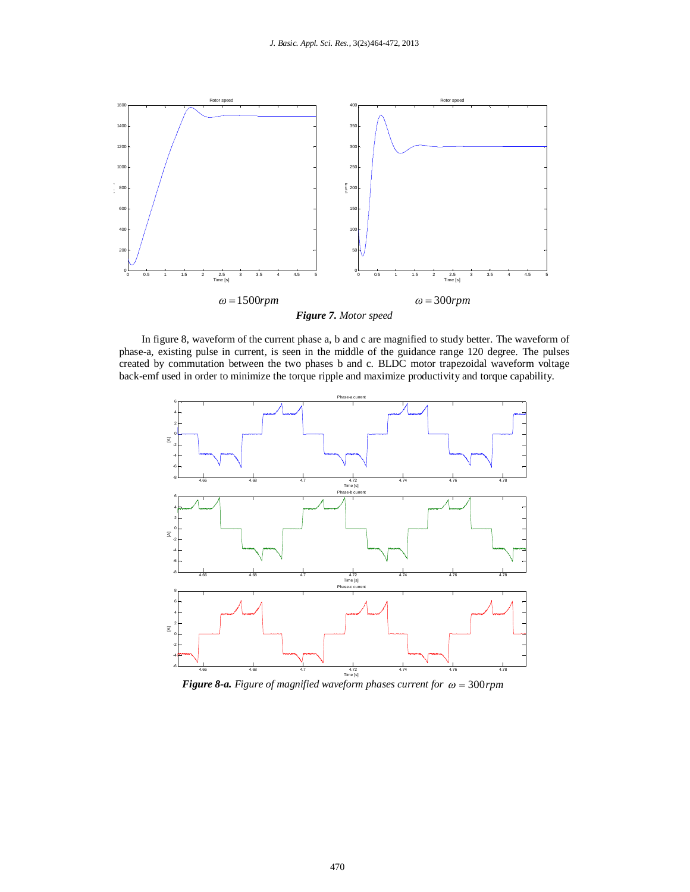

In figure 8, waveform of the current phase a, b and c are magnified to study better. The waveform of phase-a, existing pulse in current, is seen in the middle of the guidance range 120 degree. The pulses created by commutation between the two phases b and c. BLDC motor trapezoidal waveform voltage back-emf used in order to minimize the torque ripple and maximize productivity and torque capability.



*Figure* 8-*a. Figure of magnified waveform phases current for*  $\omega = 300$ *rpm*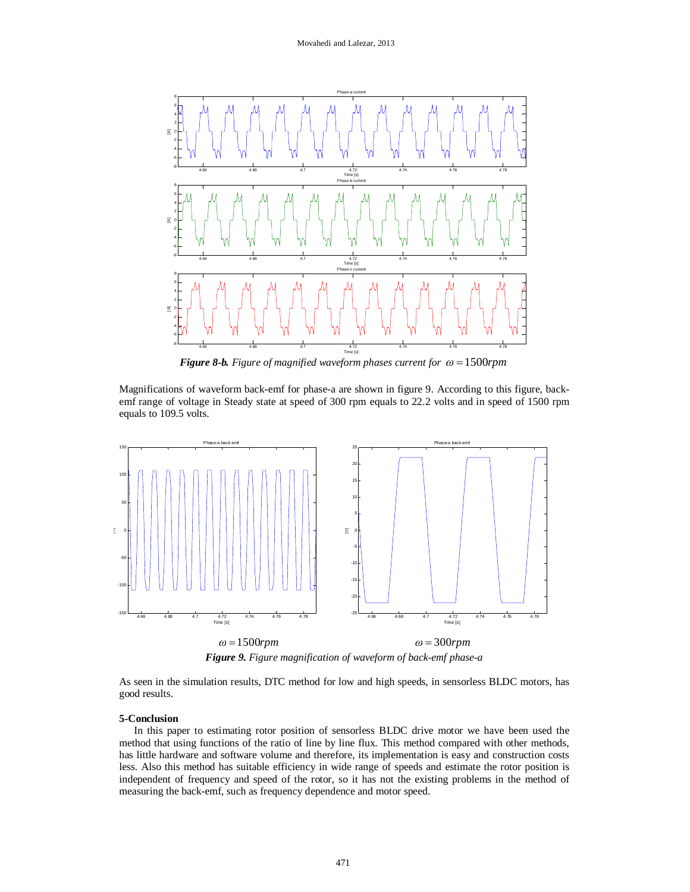

*Figure 8-b. Figure of magnified waveform phases current for*  $\omega = 1500$ *rpm* 

Magnifications of waveform back-emf for phase-a are shown in figure 9. According to this figure, backemf range of voltage in Steady state at speed of 300 rpm equals to 22.2 volts and in speed of 1500 rpm equals to 109.5 volts.



*Figure 9. Figure magnification of waveform of back-emf phase-a*

As seen in the simulation results, DTC method for low and high speeds, in sensorless BLDC motors, has good results.

#### **5-Conclusion**

In this paper to estimating rotor position of sensorless BLDC drive motor we have been used the method that using functions of the ratio of line by line flux. This method compared with other methods, has little hardware and software volume and therefore, its implementation is easy and construction costs less. Also this method has suitable efficiency in wide range of speeds and estimate the rotor position is independent of frequency and speed of the rotor, so it has not the existing problems in the method of measuring the back-emf, such as frequency dependence and motor speed.